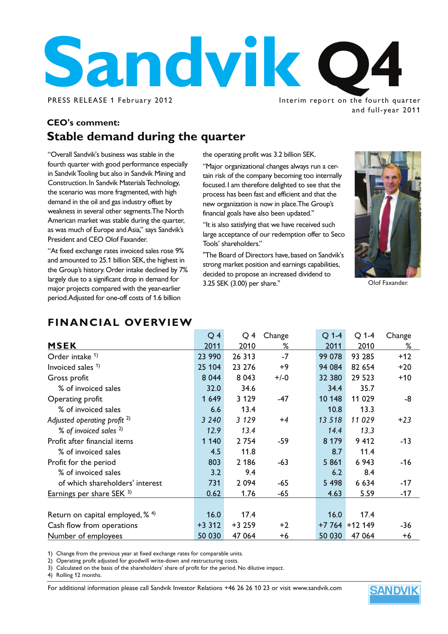

Interim report on the fourth quarter and full-year 2011

### **CEO's comment: Stable demand during the quarter**

"Overall Sandvik's business was stable in the fourth quarter with good performance especially in Sandvik Tooling but also in Sandvik Mining and Construction. In Sandvik Materials Technology, the scenario was more fragmented, with high demand in the oil and gas industry offset by weakness in several other segments. The North American market was stable during the quarter, as was much of Europe and Asia," says Sandvik's President and CEO Olof Faxander.

"At fixed exchange rates invoiced sales rose 9% and amounted to 25.1 billion SEK, the highest in the Group's history. Order intake declined by 7% largely due to a significant drop in demand for major projects compared with the year-earlier period. Adjusted for one-off costs of 1.6 billion

the operating profit was 3.2 billion SEK.

"Major organizational changes always run a certain risk of the company becoming too internally focused. I am therefore delighted to see that the process has been fast and efficient and that the new organization is now in place.The Group's financial goals have also been updated."

"It is also satisfying that we have received such large acceptance of our redemption offer to Seco Tools' shareholders."

"The Board of Directors have, based on Sandvik's strong market position and earnings capabilities, decided to propose an increased dividend to 3.25 SEK (3.00) per share."



Olof Faxander.

### **FINANCIAL OVERVIEW**

|                                           | Q <sub>4</sub> | Q4      | Change | $Q$ 1-4 | $Q$ 1-4         | Change |
|-------------------------------------------|----------------|---------|--------|---------|-----------------|--------|
| <b>MSEK</b>                               | 2011           | 2010    | ℅      | 2011    | 2010            | %      |
| Order intake <sup>1)</sup>                | 23 990         | 26 313  | $-7$   | 99 078  | 93 285          | $+12$  |
| Invoiced sales $1$ )                      | 25 104         | 23 276  | $+9$   | 94 084  | 82 654          | $+20$  |
| Gross profit                              | 8 0 4 4        | 8 0 4 3 | $+/-0$ | 32 380  | 29 5 23         | $+10$  |
| % of invoiced sales                       | 32.0           | 34.6    |        | 34.4    | 35.7            |        |
| Operating profit                          | 1 649          | 3 1 2 9 | $-47$  | 10 148  | 11 029          | -8     |
| % of invoiced sales                       | 6.6            | 13.4    |        | 10.8    | 13.3            |        |
| Adjusted operating profit <sup>2)</sup>   | 3 2 4 0        | 3 1 2 9 | $+4$   | 13 5 18 | 11 029          | $+23$  |
| % of invoiced sales <sup>2)</sup>         | 12.9           | 13.4    |        | 14.4    | 13.3            |        |
| Profit after financial items              | 1 1 4 0        | 2 7 5 4 | -59    | 8 1 7 9 | 9 4 1 2         | -13    |
| % of invoiced sales                       | 4.5            | 11.8    |        | 8.7     | 11.4            |        |
| Profit for the period                     | 803            | 2 186   | $-63$  | 5861    | 6 9 43          | -16    |
| % of invoiced sales                       | 3.2            | 9.4     |        | 6.2     | 8.4             |        |
| of which shareholders' interest           | 731            | 2 0 9 4 | $-65$  | 5 4 9 8 | 6 6 3 4         | $-17$  |
| Earnings per share SEK 3)                 | 0.62           | 1.76    | -65    | 4.63    | 5.59            | $-17$  |
|                                           |                |         |        |         |                 |        |
| Return on capital employed, $\frac{4}{3}$ | 16.0           | 17.4    |        | 16.0    | 17.4            |        |
| Cash flow from operations                 | $+3312$        | +3 259  | $+2$   |         | $+7764 + 12149$ | -36    |
| Number of employees                       | 50 030         | 47 064  | +6     | 50 030  | 47 064          | +6     |

1) Change from the previous year at fixed exchange rates for comparable units.

2) Operating profit adjusted for goodwill write-down and restructuring costs.

3) Calculated on the basis of the shareholders' share of profit for the period. No dilutive impact.

4) Rolling 12 months.

For additional information please call Sandvik Investor Relations +46 26 26 10 23 or visit www.sandvik.com

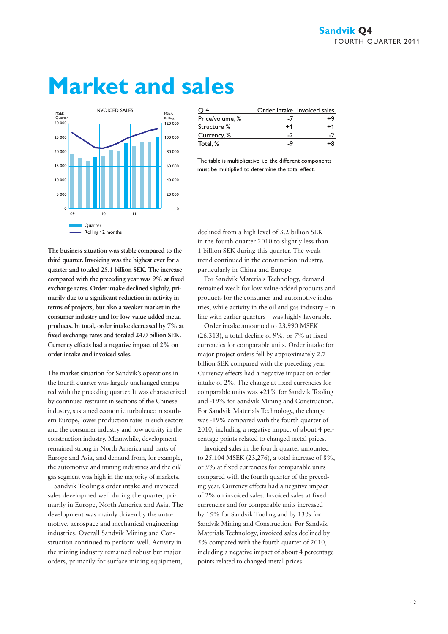# **Market and sales**



|                 |      | Order intake Invoiced sales |
|-----------------|------|-----------------------------|
| Price/volume, % | -1   | +4                          |
| Structure %     | $+1$ | +1                          |
| Currency, %     |      |                             |
| Total, %        |      |                             |

The table is multiplicative, i.e. the different components must be multiplied to determine the total effect.

**The business situation was stable compared to the third quarter. Invoicing was the highest ever for a quarter and totaled 25.1 billion SEK. The increase compared with the preceding year was 9% at fixed exchange rates. Order intake declined slightly, primarily due to a significant reduction in activity in terms of projects, but also a weaker market in the consumer industry and for low value-added metal products. In total, order intake decreased by 7% at fixed exchange rates and totaled 24.0 billion SEK. Currency effects had a negative impact of 2% on order intake and invoiced sales.**

The market situation for Sandvik's operations in the fourth quarter was largely unchanged compared with the preceding quarter. It was characterized by continued restraint in sections of the Chinese industry, sustained economic turbulence in southern Europe, lower production rates in such sectors and the consumer industry and low activity in the construction industry. Meanwhile, development remained strong in North America and parts of Europe and Asia, and demand from, for example, the automotive and mining industries and the oil/ gas segment was high in the majority of markets.

Sandvik Tooling's order intake and invoiced sales developmed well during the quarter, primarily in Europe, North America and Asia. The development was mainly driven by the automotive, aerospace and mechanical engineering industries. Overall Sandvik Mining and Construction continued to perform well. Activity in the mining industry remained robust but major orders, primarily for surface mining equipment,

declined from a high level of 3.2 billion SEK in the fourth quarter 2010 to slightly less than 1 billion SEK during this quarter. The weak trend continued in the construction industry, particularly in China and Europe.

For Sandvik Materials Technology, demand remained weak for low value-added products and products for the consumer and automotive industries, while activity in the oil and gas industry – in line with earlier quarters – was highly favorable.

**Order intake** amounted to 23,990 MSEK (26,313), a total decline of 9%, or 7% at fixed currencies for comparable units. Order intake for major project orders fell by approximately 2.7 billion SEK compared with the preceding year. Currency effects had a negative impact on order intake of 2%. The change at fixed currencies for comparable units was +21% for Sandvik Tooling and -19% for Sandvik Mining and Construction. For Sandvik Materials Technology, the change was -19% compared with the fourth quarter of 2010, including a negative impact of about 4 percentage points related to changed metal prices.

**Invoiced sales** in the fourth quarter amounted to 25,104 MSEK (23,276), a total increase of 8%, or 9% at fixed currencies for comparable units compared with the fourth quarter of the preceding year. Currency effects had a negative impact of 2% on invoiced sales. Invoiced sales at fixed currencies and for comparable units increased by 15% for Sandvik Tooling and by 13% for Sandvik Mining and Construction. For Sandvik Materials Technology, invoiced sales declined by 5% compared with the fourth quarter of 2010, including a negative impact of about 4 percentage points related to changed metal prices.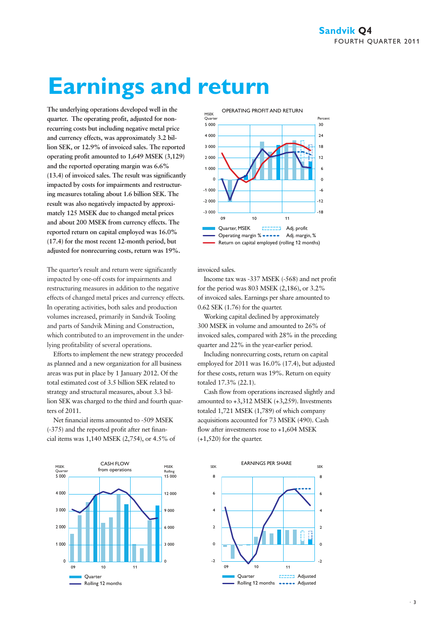# **Earnings and return**

**The underlying operations developed well in the quarter. The operating profit, adjusted for nonrecurring costs but including negative metal price and currency effects, was approximately 3.2 billion SEK, or 12.9% of invoiced sales. The reported operating profit amounted to 1,649 MSEK (3,129) and the reported operating margin was 6.6% (13.4) of invoiced sales. The result was significantly impacted by costs for impairments and restructuring measures totaling about 1.6 billion SEK. The result was also negatively impacted by approximately 125 MSEK due to changed metal prices and about 200 MSEK from currency effects. The reported return on capital employed was 16.0% (17.4) for the most recent 12-month period, but adjusted for nonrecurring costs, return was 19%.** 

The quarter's result and return were significantly impacted by one-off costs for impairments and restructuring measures in addition to the negative effects of changed metal prices and currency effects. In operating activities, both sales and production volumes increased, primarily in Sandvik Tooling and parts of Sandvik Mining and Construction, which contributed to an improvement in the underlying profitability of several operations.

Efforts to implement the new strategy proceeded as planned and a new organization for all business areas was put in place by 1 January 2012. Of the total estimated cost of 3.5 billion SEK related to strategy and structural measures, about 3.3 billion SEK was charged to the third and fourth quarters of 2011.

Net financial items amounted to -509 MSEK (-375) and the reported profit after net financial items was 1,140 MSEK (2,754), or 4.5% of





invoiced sales.

Income tax was -337 MSEK (-568) and net profit for the period was 803 MSEK (2,186), or 3.2% of invoiced sales. Earnings per share amounted to 0.62 SEK (1.76) for the quarter.

Working capital declined by approximately 300 MSEK in volume and amounted to 26% of invoiced sales, compared with 28% in the preceding quarter and 22% in the year-earlier period.

Including nonrecurring costs, return on capital employed for 2011 was 16.0% (17.4), but adjusted for these costs, return was 19%. Return on equity totaled 17.3% (22.1).

Cash flow from operations increased slightly and amounted to +3,312 MSEK (+3,259). Investments totaled 1,721 MSEK (1,789) of which company acquisitions accounted for 73 MSEK (490). Cash flow after investments rose to +1,604 MSEK (+1,520) for the quarter.

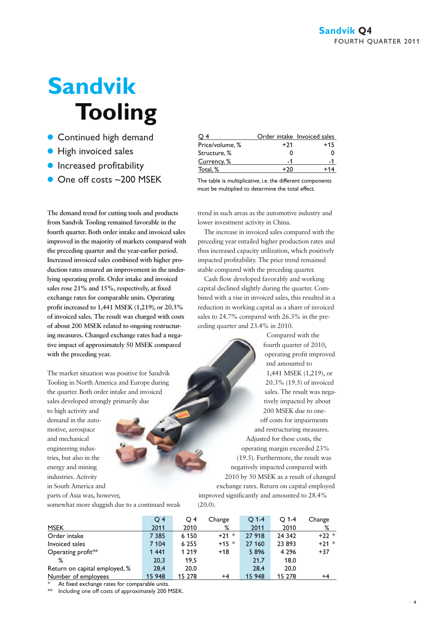# **Sandvik Tooling**

- **Continued high demand**
- **High invoiced sales**
- **Increased profitability**
- One off costs ~200 MSEK The table is multiplicative, i.e. the different components

**The demand trend for cutting tools and products from Sandvik Tooling remained favorable in the fourth quarter. Both order intake and invoiced sales improved in the majority of markets compared with the preceding quarter and the year-earlier period. Increased invoiced sales combined with higher production rates ensured an improvement in the underlying operating profit. Order intake and invoiced sales rose 21% and 15%, respectively, at fixed exchange rates for comparable units. Operating profit increased to 1,441 MSEK (1,219), or 20.3% of invoiced sales. The result was charged with costs of about 200 MSEK related to ongoing restructuring measures. Changed exchange rates had a negative impact of approximately 50 MSEK compared with the preceding year.** 

The market situation was positive for Sandvik Tooling in North America and Europe during the quarter. Both order intake and invoiced sales developed strongly primarily due

to high activity and demand in the automotive, aerospace and mechanical engineering industries, but also in the energy and mining industries. Activity in South America and parts of Asia was, however,

Q 4 Order intake Invoiced sales Price/volume,  $%$  +21 +15<br>Structure.  $%$  +21 +15 Structure, % Currency, % -1 -1 Total,  $%$  +20 +14

must be multiplied to determine the total effect.

trend in such areas as the automotive industry and lower investment activity in China.

The increase in invoiced sales compared with the preceding year entailed higher production rates and thus increased capacity utilization, which positively impacted profitability. The price trend remained stable compared with the preceding quarter.

Cash flow developed favorably and working capital declined slightly during the quarter. Combined with a rise in invoiced sales, this resulted in a reduction in working capital as a share of invoiced sales to 24.7% compared with 26.3% in the preceding quarter and 23.4% in 2010.

Compared with the fourth quarter of 2010, operating profit improved and amounted to 1,441 MSEK (1,219), or 20.3% (19.5) of invoiced sales. The result was negatively impacted by about 200 MSEK due to oneoff costs for impairments and restructuring measures. Adjusted for these costs, the operating margin exceeded 23% (19.5). Furthermore, the result was negatively impacted compared with 2010 by 50 MSEK as a result of changed exchange rates. Return on capital employed improved significantly and amounted to 28.4%

somewhat more sluggish due to a continued weak  $(20.0)$ .

|                               | Q <sub>4</sub> | O 4     | Change  | $Q$ 1-4 | $O$ 1-4 | Change  |
|-------------------------------|----------------|---------|---------|---------|---------|---------|
| <b>MSEK</b>                   | 2011           | 2010    | %       | 2011    | 2010    | %       |
| Order intake                  | 7 3 8 5        | 6 1 5 0 | $+21$ * | 27 918  | 24 342  | $+22$ * |
| Invoiced sales                | 7 104          | 6 2 5 5 | $+15 *$ | 27 160  | 23 893  | $+21$ * |
| Operating profit $**$         | 1 4 4 1        | 1 2 1 9 | $+18$   | 5896    | 4 2 9 6 | $+37$   |
| %                             | 20,3           | 19,5    |         | 21,7    | 18,0    |         |
| Return on capital employed, % | 28,4           | 20.0    |         | 28.4    | 20.0    |         |
| Number of employees           | 15 948         | 15 278  | $+4$    | 15 948  | 15 278  | +4      |

At fixed exchange rates for comparable units.

Including one off costs of approximately 200 MSEK.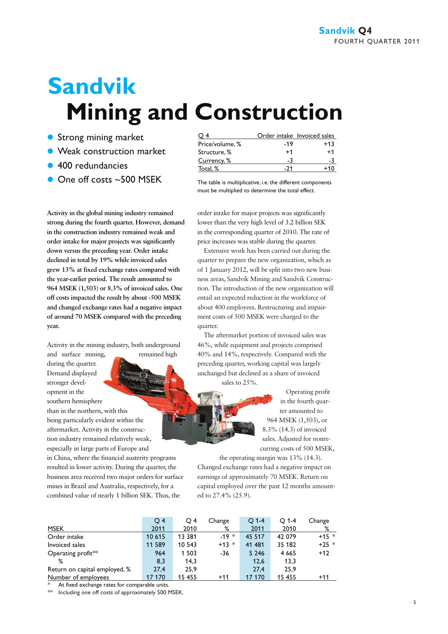# **Sandvik Mining and Construction**

- **Strong mining market**
- **Weak construction market**
- 400 redundancies
- $\bullet$  One off costs  $\sim$  500 MSEK The table is multiplicative, i.e. the different components

**Activity in the global mining industry remained strong during the fourth quarter. However, demand in the construction industry remained weak and order intake for major projects was significantly down versus the preceding year. Order intake declined in total by 19% while invoiced sales grew 13% at fixed exchange rates compared with the year-earlier period. The result amounted to 964 MSEK (1,503) or 8.3% of invoiced sales. One off costs impacted the result by about -500 MSEK and changed exchange rates had a negative impact of around 70 MSEK compared with the preceding year.**

Activity in the mining industry, both underground and surface mining, remained high

during the quarter.

Demand displayed stronger development in the southern hemisphere than in the northern, with this being particularly evident within the aftermarket. Activity in the construction industry remained relatively weak, especially in large parts of Europe and in China, where the financial austerity programs resulted in lower activity. During the quarter, the business area received two major orders for surface mines in Brazil and Australia, respectively, for a combined value of nearly 1 billion SEK. Thus, the

|      | Order intake Invoiced sales |
|------|-----------------------------|
| -19  | $+13$                       |
| $+1$ | $^{\mathrm {+1}}$           |
|      | -3                          |
|      | +10                         |
|      |                             |

must be multiplied to determine the total effect.

order intake for major projects was significantly lower than the very high level of 3.2 billion SEK in the corresponding quarter of 2010. The rate of price increases was stable during the quarter.

Extensive work has been carried out during the quarter to prepare the new organization, which as of 1 January 2012, will be split into two new business areas, Sandvik Mining and Sandvik Construction. The introduction of the new organization will entail an expected reduction in the workforce of about 400 employees. Restructuring and impairment costs of 500 MSEK were charged to the quarter.

The aftermarket portion of invoiced sales was 46%, while equipment and projects comprised 40% and 14%, respectively. Compared with the preceding quarter, working capital was largely unchanged but declined as a share of invoiced sales to 25%.

> Operating profit in the fourth quarter amounted to 964 MSEK (1,503), or 8.3% (14.3) of invoiced sales. Adjusted for nonrecurring costs of 500 MSEK,

the operating margin was 13% (14.3). Changed exchange rates had a negative impact on earnings of approximately 70 MSEK. Return on capital employed over the past 12 months amounted to 27.4% (25.9).

|                                | $\overline{O}$ 4 | O 4    | Change  | $O$ 1-4 | $O$ 1-4 | Change  |
|--------------------------------|------------------|--------|---------|---------|---------|---------|
| <b>MSEK</b>                    | 2011             | 2010   | %       | 2011    | 2010    | ℅       |
| Order intake                   | 10 615           | 13 381 | $-19*$  | 45 517  | 42 079  | $+15 *$ |
| Invoiced sales                 | 11 589           | 10 543 | $+13$ * | 41 481  | 35 182  | $+25$ * |
| Operating profit <sup>**</sup> | 964              | 1 503  | -36     | 5 2 4 6 | 4 6 6 5 | $+12$   |
| %                              | 8,3              | 14.3   |         | 12.6    | 13.3    |         |
| Return on capital employed, %  | 27,4             | 25.9   |         | 27.4    | 25.9    |         |
| Number of employees            | 17 170           | 15 455 | $+11$   | 17 170  | 15 455  | $+11$   |

At fixed exchange rates for comparable units.

Including one off costs of approximately 500 MSEK.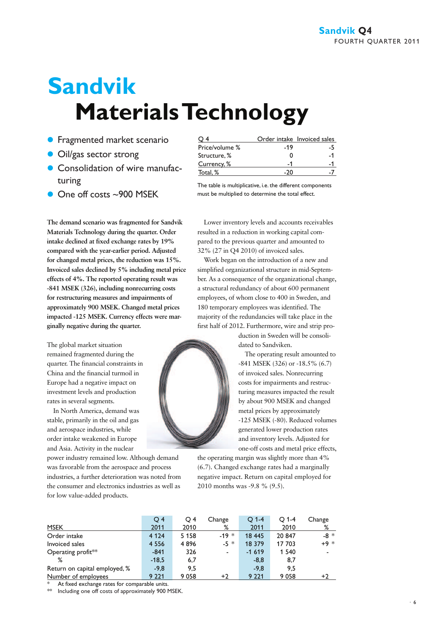# **Sandvik Materials Technology**

- **Fragmented market scenario**
- **Oil/gas sector strong**
- **Consolidation of wire manufac**turing
- $\bullet$  One off costs ~900 MSEK

**The demand scenario was fragmented for Sandvik Materials Technology during the quarter. Order intake declined at fixed exchange rates by 19% compared with the year-earlier period. Adjusted for changed metal prices, the reduction was 15%. Invoiced sales declined by 5% including metal price effects of 4%. The reported operating result was -841 MSEK (326), including nonrecurring costs for restructuring measures and impairments of approximately 900 MSEK. Changed metal prices impacted -125 MSEK. Currency effects were marginally negative during the quarter.**

The global market situation remained fragmented during the quarter. The financial constraints in China and the financial turmoil in Europe had a negative impact on investment levels and production rates in several segments.

In North America, demand was stable, primarily in the oil and gas and aerospace industries, while order intake weakened in Europe and Asia. Activity in the nuclear

power industry remained low. Although demand was favorable from the aerospace and process industries, a further deterioration was noted from the consumer and electronics industries as well as for low value-added products.

|                |     | Order intake Invoiced sales |
|----------------|-----|-----------------------------|
| Price/volume % | -19 | -5                          |
| Structure, %   |     | -1                          |
| Currency, %    |     |                             |
| Total, %       |     |                             |

The table is multiplicative, i.e. the different components must be multiplied to determine the total effect.

Lower inventory levels and accounts receivables resulted in a reduction in working capital compared to the previous quarter and amounted to 32% (27 in Q4 2010) of invoiced sales.

Work began on the introduction of a new and simplified organizational structure in mid-September. As a consequence of the organizational change, a structural redundancy of about 600 permanent employees, of whom close to 400 in Sweden, and 180 temporary employees was identified. The majority of the redundancies will take place in the first half of 2012. Furthermore, wire and strip pro-

> duction in Sweden will be consolidated to Sandviken.

The operating result amounted to -841 MSEK (326) or -18.5% (6.7) of invoiced sales. Nonrecurring costs for impairments and restructuring measures impacted the result by about 900 MSEK and changed metal prices by approximately -125 MSEK (-80). Reduced volumes generated lower production rates and inventory levels. Adjusted for one-off costs and metal price effects,

the operating margin was slightly more than 4% (6.7). Changed exchange rates had a marginally negative impact. Return on capital employed for 2010 months was -9.8 % (9.5).

|                               | Q <sub>4</sub> | $\circ$ 4 | Change | $O$ 1-4 | O 1-4   | Change |
|-------------------------------|----------------|-----------|--------|---------|---------|--------|
| <b>MSEK</b>                   | 2011           | 2010      | %      | 2011    | 2010    | %      |
| Order intake                  | 4 1 2 4        | 5 1 5 8   | $-19*$ | 18 445  | 20 847  | $-8*$  |
| Invoiced sales                | 4 5 5 6        | 4896      | $-5*$  | 18 379  | 17 703  | $+9 *$ |
| Operating profit $**$         | $-841$         | 326       | ۰.     | $-1619$ | 1 5 4 0 |        |
| %                             | $-18,5$        | 6,7       |        | $-8,8$  | 8,7     |        |
| Return on capital employed, % | $-9.8$         | 9,5       |        | $-9.8$  | 9.5     |        |
| Number of employees           | 9 2 2 1        | 9 0 5 8   | $+2$   | 9 2 2 1 | 9058    | $+2$   |

At fixed exchange rates for comparable units.

Including one off costs of approximately 900 MSEK.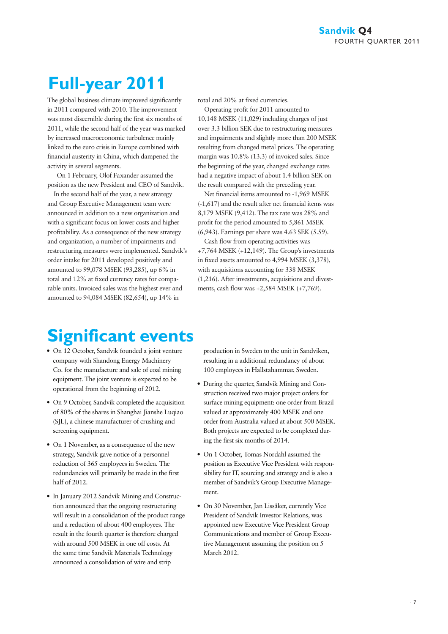# **Full-year 2011**

The global business climate improved significantly in 2011 compared with 2010. The improvement was most discernible during the first six months of 2011, while the second half of the year was marked by increased macroeconomic turbulence mainly linked to the euro crisis in Europe combined with financial austerity in China, which dampened the activity in several segments.

 On 1 February, Olof Faxander assumed the position as the new President and CEO of Sandvik.

In the second half of the year, a new strategy and Group Executive Management team were announced in addition to a new organization and with a significant focus on lower costs and higher profitability. As a consequence of the new strategy and organization, a number of impairments and restructuring measures were implemented. Sandvik's order intake for 2011 developed positively and amounted to 99,078 MSEK (93,285), up 6% in total and 12% at fixed currency rates for comparable units. Invoiced sales was the highest ever and amounted to 94,084 MSEK (82,654), up 14% in

total and 20% at fixed currencies.

Operating profit for 2011 amounted to 10,148 MSEK (11,029) including charges of just over 3.3 billion SEK due to restructuring measures and impairments and slightly more than 200 MSEK resulting from changed metal prices. The operating margin was 10.8% (13.3) of invoiced sales. Since the beginning of the year, changed exchange rates had a negative impact of about 1.4 billion SEK on the result compared with the preceding year.

Net financial items amounted to -1,969 MSEK (-1,617) and the result after net financial items was 8,179 MSEK (9,412). The tax rate was 28% and profit for the period amounted to 5,861 MSEK (6,943). Earnings per share was 4.63 SEK (5.59).

Cash flow from operating activities was +7,764 MSEK (+12,149). The Group's investments in fixed assets amounted to 4,994 MSEK (3,378), with acquisitions accounting for 338 MSEK (1,216). After investments, acquisitions and divestments, cash flow was +2,584 MSEK (+7,769).

### **Significant events**

- On 12 October, Sandvik founded a joint venture company with Shandong Energy Machinery Co. for the manufacture and sale of coal mining equipment. The joint venture is expected to be operational from the beginning of 2012.
- On 9 October, Sandvik completed the acquisition of 80% of the shares in Shanghai Jianshe Luqiao (SJL), a chinese manufacturer of crushing and screening equipment.
- On 1 November, as a consequence of the new strategy, Sandvik gave notice of a personnel reduction of 365 employees in Sweden. The redundancies will primarily be made in the first half of 2012.
- In January 2012 Sandvik Mining and Construction announced that the ongoing restructuring will result in a consolidation of the product range and a reduction of about 400 employees. The result in the fourth quarter is therefore charged with around 500 MSEK in one off costs. At the same time Sandvik Materials Technology announced a consolidation of wire and strip

production in Sweden to the unit in Sandviken, resulting in a additional redundancy of about 100 employees in Hallstahammar, Sweden.

- During the quarter, Sandvik Mining and Construction received two major project orders for surface mining equipment: one order from Brazil valued at approximately 400 MSEK and one order from Australia valued at about 500 MSEK. Both projects are expected to be completed during the first six months of 2014.
- On 1 October, Tomas Nordahl assumed the position as Executive Vice President with responsibility for IT, sourcing and strategy and is also a member of Sandvik's Group Executive Management.
- On 30 November, Jan Lissåker, currently Vice President of Sandvik Investor Relations, was appointed new Executive Vice President Group Communications and member of Group Executive Management assuming the position on 5 March 2012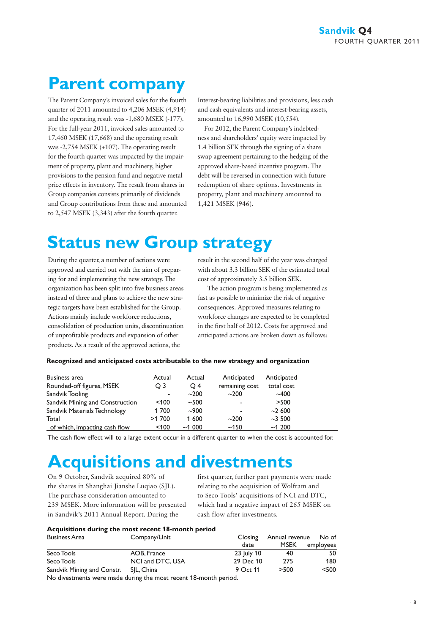### **Parent company**

The Parent Company's invoiced sales for the fourth quarter of 2011 amounted to 4,206 MSEK (4,914) and the operating result was -1,680 MSEK (-177). For the full-year 2011, invoiced sales amounted to 17,460 MSEK (17,668) and the operating result was -2,754 MSEK (+107). The operating result for the fourth quarter was impacted by the impairment of property, plant and machinery, higher provisions to the pension fund and negative metal price effects in inventory. The result from shares in Group companies consists primarily of dividends and Group contributions from these and amounted to 2,547 MSEK (3,343) after the fourth quarter.

Interest-bearing liabilities and provisions, less cash and cash equivalents and interest-bearing assets, amounted to 16,990 MSEK (10,554).

For 2012, the Parent Company's indebtedness and shareholders' equity were impacted by 1.4 billion SEK through the signing of a share swap agreement pertaining to the hedging of the approved share-based incentive program. The debt will be reversed in connection with future redemption of share options. Investments in property, plant and machinery amounted to 1,421 MSEK (946).

### **Status new Group strategy**

During the quarter, a number of actions were approved and carried out with the aim of preparing for and implementing the new strategy. The organization has been split into five business areas instead of three and plans to achieve the new strategic targets have been established for the Group. Actions mainly include workforce reductions, consolidation of production units, discontinuation of unprofitable products and expansion of other products. As a result of the approved actions, the

result in the second half of the year was charged with about 3.3 billion SEK of the estimated total cost of approximately 3.5 billion SEK.

The action program is being implemented as fast as possible to minimize the risk of negative consequences. Approved measures relating to workforce changes are expected to be completed in the first half of 2012. Costs for approved and anticipated actions are broken down as follows:

#### **Recognized and anticipated costs attributable to the new strategy and organization**

| Business area                   | Actual  | Actual | Anticipated    | Anticipated |  |
|---------------------------------|---------|--------|----------------|-------------|--|
| Rounded-off figures, MSEK       | O 3     | O 4    | remaining cost | total cost  |  |
| Sandvik Tooling                 |         | $-200$ | $~1$ -200      | $-400$      |  |
| Sandvik Mining and Construction | $<$ 100 | ~1.500 |                | >500        |  |
| Sandvik Materials Technology    | 1700    | $-900$ |                | $-2600$     |  |
| Total                           | >1700   | 1 600  | $~1$ -200      | $~1$ -3 500 |  |
| of which, impacting cash flow   | < 100   | ~1000  | ~150           | ~1200       |  |

The cash flow effect will to a large extent occur in a different quarter to when the cost is accounted for.

## **Acquisitions and divestments**

On 9 October, Sandvik acquired 80% of the shares in Shanghai Jianshe Luqiao (SJL). The purchase consideration amounted to 239 MSEK. More information will be presented in Sandvik's 2011 Annual Report. During the

first quarter, further part payments were made relating to the acquisition of Wolfram and to Seco Tools' acquisitions of NCI and DTC, which had a negative impact of 265 MSEK on cash flow after investments.

#### **Acquisitions during the most recent 18-month period**

| Business Area                                                                                                                                                                                                                     | Company/Unit     | Closing    | Annual revenue | No of     |
|-----------------------------------------------------------------------------------------------------------------------------------------------------------------------------------------------------------------------------------|------------------|------------|----------------|-----------|
|                                                                                                                                                                                                                                   |                  | date       | <b>MSEK</b>    | employees |
| Seco Tools                                                                                                                                                                                                                        | AOB, France      | 23 July 10 | 40             | 50        |
| Seco Tools                                                                                                                                                                                                                        | NCI and DTC, USA | 29 Dec 10  | 275            | 180       |
| Sandvik Mining and Constr.                                                                                                                                                                                                        | SIL. China       | 9 Oct 11   | >500           | $<$ 500   |
| $\mathbf{r}$ , and the contract of the contract of the contract of the contract of the contract of the contract of the contract of the contract of the contract of the contract of the contract of the contract of the contract o |                  |            |                |           |

No divestments were made during the most recent 18-month period.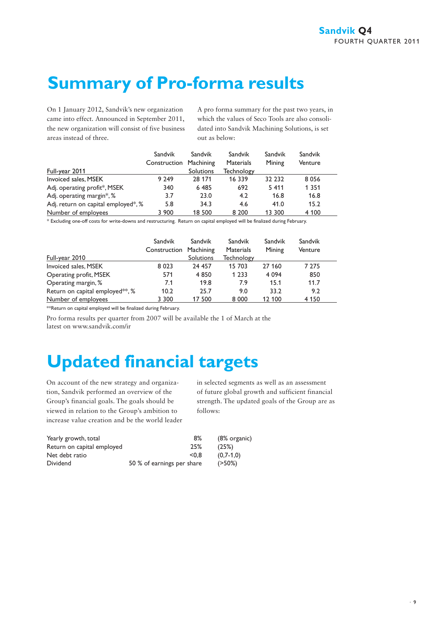## **Summary of Pro-forma results**

On 1 January 2012, Sandvik's new organization came into effect. Announced in September 2011, the new organization will consist of five business areas instead of three.

A pro forma summary for the past two years, in which the values of Seco Tools are also consolidated into Sandvik Machining Solutions, is set out as below:

|                                     | Sandvik<br>Construction Machining | Sandvik   | Sandvik<br><b>Materials</b> | Sandvik<br>Mining | Sandvik<br>Venture |
|-------------------------------------|-----------------------------------|-----------|-----------------------------|-------------------|--------------------|
| Full-year 2011                      |                                   | Solutions | Technology                  |                   |                    |
| Invoiced sales, MSEK                | 9 2 4 9                           | 28 171    | 16 339                      | 32 232            | 8056               |
| Adj. operating profit*, MSEK        | 340                               | 6 4 8 5   | 692                         | 5 4 1 1           | 1 3 5 1            |
| Adj. operating margin*, %           | 3.7                               | 23.0      | 4.2                         | 16.8              | 16.8               |
| Adj. return on capital employed*, % | 5.8                               | 34.3      | 4.6                         | 41.0              | 15.2               |
| Number of employees                 | 3 900                             | 18 500    | 8 2 0 0                     | 13 300            | 4 100              |

\* Excluding one-off costs for write-downs and restructuring. Return on capital employed will be finalized during February.

|                                              | Sandvik<br>Construction Machining | Sandvik   | Sandvik<br><b>Materials</b> | Sandvik<br>Mining | Sandvik<br>Venture |
|----------------------------------------------|-----------------------------------|-----------|-----------------------------|-------------------|--------------------|
| Full-year 2010                               |                                   | Solutions | <b>Technology</b>           |                   |                    |
| Invoiced sales, MSEK                         | 8 0 2 3                           | 24 457    | 15 703                      | 27 160            | 7 275              |
| Operating profit, MSEK                       | 571                               | 4 8 5 0   | 1 2 3 3                     | 4 0 9 4           | 850                |
| Operating margin, %                          | 7.1                               | 19.8      | 7.9                         | 15.1              | 11.7               |
| Return on capital employed <sup>**</sup> , % | 10.2                              | 25.7      | 9.0                         | 33.2              | 9.2                |
| Number of employees                          | 3 3 0 0                           | 17 500    | 8 0 0 0                     | 12 100            | 4 1 5 0            |

\*\*Return on capital employed will be finalized during February.

Pro forma results per quarter from 2007 will be available the 1 of March at the latest on www.sandvik.com/ir

### **Updated financial targets**

On account of the new strategy and organization, Sandvik performed an overview of the Group's financial goals. The goals should be viewed in relation to the Group's ambition to increase value creation and be the world leader in selected segments as well as an assessment of future global growth and sufficient financial strength. The updated goals of the Group are as follows:

| Yearly growth, total       | 8%                         | (8% organic) |
|----------------------------|----------------------------|--------------|
| Return on capital employed | 25%                        | (25%)        |
| Net debt ratio             | < 0.8                      | $(0.7-1.0)$  |
| <b>Dividend</b>            | 50 % of earnings per share | $(250\%)$    |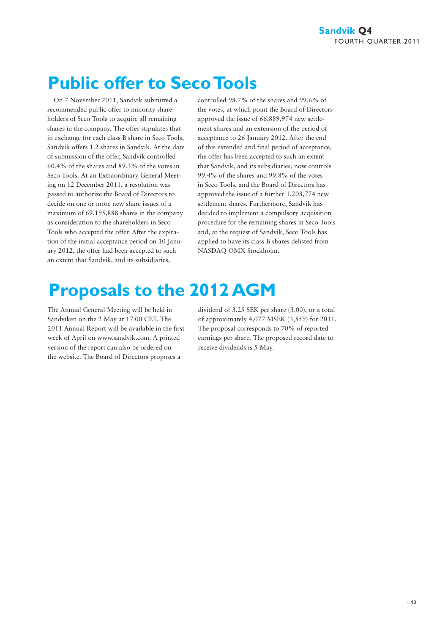## **Public offer to Seco Tools**

On 7 November 2011, Sandvik submitted a recommended public offer to minority shareholders of Seco Tools to acquire all remaining shares in the company. The offer stipulates that in exchange for each class B share in Seco Tools, Sandvik offers 1.2 shares in Sandvik. At the date of submission of the offer, Sandvik controlled 60.4% of the shares and 89.3% of the votes in Seco Tools. At an Extraordinary General Meeting on 12 December 2011, a resolution was passed to authorize the Board of Directors to decide on one or more new share issues of a maximum of 69,195,888 shares in the company as consideration to the shareholders in Seco Tools who accepted the offer. After the expiration of the initial acceptance period on 10 January 2012, the offer had been accepted to such an extent that Sandvik, and its subsidiaries,

controlled 98.7% of the shares and 99.6% of the votes, at which point the Board of Directors approved the issue of 66,889,974 new settlement shares and an extension of the period of acceptance to 26 January 2012. After the end of this extended and final period of acceptance, the offer has been accepted to such an extent that Sandvik, and its subsidiaries, now controls 99.4% of the shares and 99.8% of the votes in Seco Tools, and the Board of Directors has approved the issue of a further 1,208,774 new settlement shares. Furthermore, Sandvik has decided to implement a compulsory acquisition procedure for the remaining shares in Seco Tools and, at the request of Sandvik, Seco Tools has applied to have its class B shares delisted from NASDAQ OMX Stockholm.

# **Proposals to the 2012 AGM**

The Annual General Meeting will be held in Sandviken on the 2 May at 17:00 CET. The 2011 Annual Report will be available in the first week of April on www.sandvik.com. A printed version of the report can also be ordered on the website. The Board of Directors proposes a

dividend of 3.25 SEK per share (3.00), or a total of approximately 4,077 MSEK (3,559) for 2011. The proposal corresponds to 70% of reported earnings per share. The proposed record date to receive dividends is 5 May.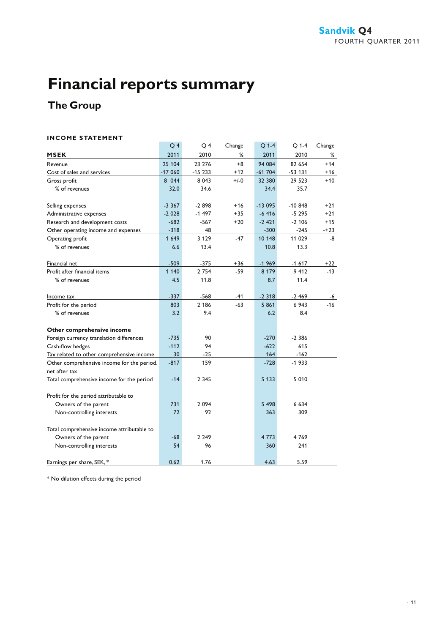### **The Group**

#### **INCOME STATEMENT**

| INCOME SIAIEMENI                           |                |                |        |          |           |        |
|--------------------------------------------|----------------|----------------|--------|----------|-----------|--------|
|                                            | Q <sub>4</sub> | O <sub>4</sub> | Change | $Q$ 1-4  | $O$ 1-4   | Change |
| <b>MSEK</b>                                | 2011           | 2010           | %      | 2011     | 2010      | %      |
| Revenue                                    | 25 104         | 23 276         | $+8$   | 94 084   | 82 654    | $+14$  |
| Cost of sales and services                 | $-17060$       | $-15233$       | $+12$  | $-61704$ | $-53131$  | $+16$  |
| Gross profit                               | 8 0 4 4        | 8 0 4 3        | $+/-0$ | 32 380   | 29 5 23   | $+10$  |
| % of revenues                              | 32.0           | 34.6           |        | 34.4     | 35.7      |        |
| Selling expenses                           | $-3.367$       | $-2898$        | $+16$  | $-13095$ | $-10.848$ | $+21$  |
| Administrative expenses                    | $-2028$        | $-1497$        | $+35$  | $-6416$  | $-5295$   | $+21$  |
| Research and development costs             | $-682$         | $-567$         | $+20$  | $-2421$  | $-2,106$  | $+15$  |
| Other operating income and expenses        | $-318$         | 48             |        | $-300$   | $-245$    | $-+23$ |
| Operating profit                           | 1 6 4 9        | 3 1 2 9        | $-47$  | 10 148   | 11 029    | -8     |
| % of revenues                              | 6.6            | 13.4           |        | 10.8     | 13.3      |        |
| Financial net                              | $-509$         | $-375$         | $+36$  | $-1969$  | $-1617$   | +22    |
| Profit after financial items               | 1 1 4 0        | 2 7 5 4        | $-59$  | 8 1 7 9  | 9 4 1 2   | $-13$  |
| % of revenues                              | 4.5            | 11.8           |        | 8.7      | 11.4      |        |
| Income tax                                 | $-337$         | $-568$         | $-41$  | $-2318$  | $-2469$   | -6     |
| Profit for the period                      | 803            | 2 186          | $-63$  | 5861     | 6 9 43    | $-16$  |
| % of revenues                              | 3.2            | 9.4            |        | 6.2      | 8.4       |        |
|                                            |                |                |        |          |           |        |
| Other comprehensive income                 |                |                |        |          |           |        |
| Foreign currency translation differences   | $-735$         | 90             |        | $-270$   | $-2.386$  |        |
| Cash-flow hedges                           | $-112$         | 94             |        | $-622$   | 615       |        |
| Tax related to other comprehensive income  | 30             | $-25$          |        | 164      | $-162$    |        |
| Other comprehensive income for the period. | $-817$         | 159            |        | $-728$   | $-1933$   |        |
| net after tax                              |                |                |        |          |           |        |
| Total comprehensive income for the period  | $-14$          | 2 3 4 5        |        | 5 1 3 3  | 5 0 1 0   |        |
| Profit for the period attributable to      |                |                |        |          |           |        |
| Owners of the parent                       | 731            | 2 0 9 4        |        | 5 4 9 8  | 6 6 3 4   |        |
| Non-controlling interests                  | 72             | 92             |        | 363      | 309       |        |
| Total comprehensive income attributable to |                |                |        |          |           |        |
| Owners of the parent                       | $-68$          | 2 2 4 9        |        | 4 7 7 3  | 4769      |        |
| Non-controlling interests                  | 54             | 96             |        | 360      | 241       |        |
| Earnings per share, SEK,*                  | 0.62           | 1.76           |        | 4.63     | 5.59      |        |

\* No dilution effects during the period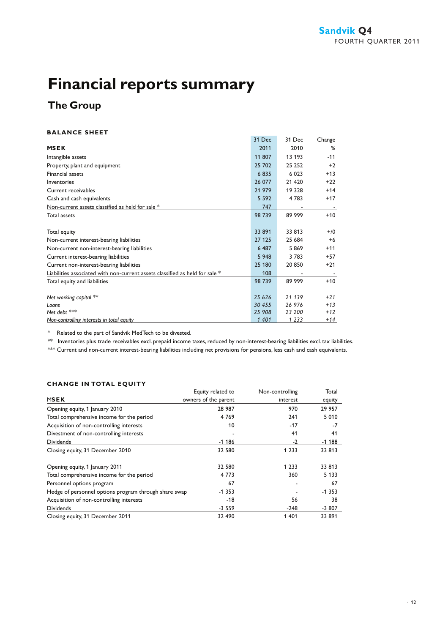### **The Group**

#### **BALANCE SHEET**

|                                                                              | 31 Dec  | 31 Dec  | Change |
|------------------------------------------------------------------------------|---------|---------|--------|
| <b>MSEK</b>                                                                  | 2011    | 2010    | ℅      |
| Intangible assets                                                            | 11 807  | 13 193  | $-11$  |
| Property, plant and equipment                                                | 25 702  | 25 25 2 | $+2$   |
| <b>Financial assets</b>                                                      | 6835    | 6 0 23  | $+13$  |
| Inventories                                                                  | 26 077  | 21 4 20 | $+22$  |
| Current receivables                                                          | 21 979  | 19 3 28 | $+14$  |
| Cash and cash equivalents                                                    | 5 5 9 2 | 4783    | $+17$  |
| Non-current assets classified as held for sale *                             | 747     |         |        |
| Total assets                                                                 | 98 739  | 89 999  | $+10$  |
|                                                                              |         |         |        |
| Total equity                                                                 | 33 891  | 33 813  | $+/0$  |
| Non-current interest-bearing liabilities                                     | 27 125  | 25 684  | $+6$   |
| Non-current non-interest-bearing liabilities                                 | 6 4 8 7 | 5869    | $+11$  |
| Current interest-bearing liabilities                                         | 5 9 4 8 | 3 7 8 3 | $+57$  |
| Current non-interest-bearing liabilities                                     | 25 180  | 20 850  | $+21$  |
| Liabilities associated with non-current assets classified as held for sale * | 108     |         |        |
| Total equity and liabilities                                                 | 98 739  | 89 999  | $+10$  |
|                                                                              |         |         |        |
| Net working capital **                                                       | 25 6 26 | 21 139  | $+21$  |
| Loans                                                                        | 30 455  | 26 976  | $+13$  |
| Net debt ***                                                                 | 25 908  | 23 200  | $+12$  |
| Non-controlling interests in total equity                                    | 1 4 0 1 | 1 2 3 3 | $+14$  |

\* Related to the part of Sandvik MedTech to be divested.

\*\* Inventories plus trade receivables excl. prepaid income taxes, reduced by non-interest-bearing liabilities excl. tax liabilities.

\*\*\* Current and non-current interest-bearing liabilities including net provisions for pensions, less cash and cash equivalents.

#### **CHANGE IN TOTAL EQUITY**

| CHANGE IN TOTAL EQUITT                                |                      |                 |         |
|-------------------------------------------------------|----------------------|-----------------|---------|
|                                                       | Equity related to    | Non-controlling | Total   |
| <b>MSEK</b>                                           | owners of the parent | interest        | equity  |
| Opening equity, 1 January 2010                        | 28 987               | 970             | 29 957  |
| Total comprehensive income for the period             | 4769                 | 241             | 5 0 1 0 |
| Acquisition of non-controlling interests              | 10                   | $-17$           | -7      |
| Divestment of non-controlling interests               |                      | 41              | 41      |
| <b>Dividends</b>                                      | $-1186$              | $-2$            | $-1188$ |
| Closing equity, 31 December 2010                      | 32 580               | 1 2 3 3         | 33 813  |
| Opening equity, 1 January 2011                        | 32 580               | 1 2 3 3         | 33 813  |
| Total comprehensive income for the period             | 4 7 7 3              | 360             | 5 1 3 3 |
| Personnel options program                             | 67                   |                 | 67      |
| Hedge of personnel options program through share swap | $-1353$              |                 | $-1353$ |
| Acquisition of non-controlling interests              | $-18$                | 56              | 38      |
| <b>Dividends</b>                                      | $-3559$              | $-248$          | $-3807$ |
| Closing equity, 31 December 2011                      | 32 490               | 1 401           | 33 891  |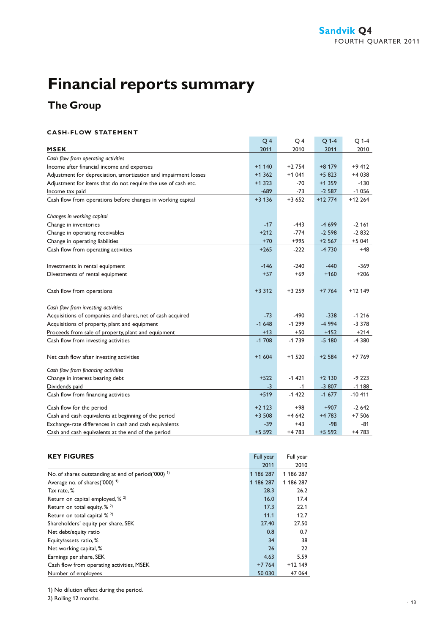### **The Group**

#### **CASH-FLOW STATEMENT**

|                                                                 | Q <sub>4</sub> | Q4      | $Q$ 1-4  | Q 1-4    |
|-----------------------------------------------------------------|----------------|---------|----------|----------|
| <b>MSEK</b>                                                     | 2011           | 2010    | 2011     | 2010     |
| Cash flow from operating activities                             |                |         |          |          |
| Income after financial income and expenses                      | $+1$ 140       | $+2754$ | $+8179$  | $+9412$  |
| Adjustment for depreciation, amortization and impairment losses | $+1362$        | $+1041$ | $+5823$  | +4 038   |
| Adjustment for items that do not require the use of cash etc.   | $+1323$        | $-70$   | $+1359$  | $-130$   |
| Income tax paid                                                 | $-689$         | $-73$   | $-2587$  | $-1056$  |
| Cash flow from operations before changes in working capital     | $+3136$        | $+3652$ | $+12774$ | $+12264$ |
| Changes in working capital                                      |                |         |          |          |
| Change in inventories                                           | $-17$          | $-443$  | $-4699$  | $-2,161$ |
| Change in operating receivables                                 | $+212$         | $-774$  | $-2598$  | $-2832$  |
| Change in operating liabilities                                 | $+70$          | $+995$  | $+2567$  | $+5041$  |
| Cash flow from operating activities                             | $+265$         | $-222$  | $-4730$  | $+48$    |
| Investments in rental equipment                                 | $-146$         | $-240$  | $-440$   | $-369$   |
| Divestments of rental equipment                                 | $+57$          | $+69$   | $+160$   | $+206$   |
| Cash flow from operations                                       | $+3312$        | $+3259$ | $+7764$  | $+12149$ |
| Cash flow from investing activities                             |                |         |          |          |
| Acquisitions of companies and shares, net of cash acquired      | $-73$          | $-490$  | $-338$   | $-1216$  |
| Acquisitions of property, plant and equipment                   | $-1648$        | $-1299$ | $-4994$  | $-3378$  |
| Proceeds from sale of property, plant and equipment             | $+13$          | $+50$   | $+152$   | $+214$   |
| Cash flow from investing activities                             | $-1708$        | $-1739$ | $-5180$  | -4 380   |
| Net cash flow after investing activities                        | $+1604$        | $+1520$ | $+2584$  | +7 769   |
| Cash flow from financing activities                             |                |         |          |          |
| Change in interest bearing debt                                 | $+522$         | $-1421$ | $+2$ 130 | $-9223$  |
| Dividends paid                                                  | $-3$           | $-1$    | $-3807$  | $-1188$  |
| Cash flow from financing activities                             | $+519$         | $-1422$ | $-1677$  | $-10411$ |
| Cash flow for the period                                        | $+2$ 123       | +98     | $+907$   | $-2642$  |
| Cash and cash equivalents at beginning of the period            | $+3508$        | $+4642$ | $+4783$  | $+7506$  |
| Exchange-rate differences in cash and cash equivalents          | $-39$          | $+43$   | $-98$    | -81      |
| Cash and cash equivalents at the end of the period              | $+5592$        | +4783   | $+5592$  | +4 783   |

| <b>KEY FIGURES</b>                                                | Full year | Full year |
|-------------------------------------------------------------------|-----------|-----------|
|                                                                   | 2011      | 2010      |
| No. of shares outstanding at end of period( $000$ ) <sup>1)</sup> | 1 186 287 | 1 186 287 |
| Average no. of shares('000) <sup>1)</sup>                         | 1 186 287 | 1 186 287 |
| Tax rate, %                                                       | 28.3      | 26.2      |
| Return on capital employed, $\frac{2}{3}$                         | 16.0      | 17.4      |
| Return on total equity, $\frac{\pi}{2}$                           | 17.3      | 22.1      |
| Return on total capital % <sup>2)</sup>                           | 11.1      | 12.7      |
| Shareholders' equity per share, SEK                               | 27.40     | 27.50     |
| Net debt/equity ratio                                             | 0.8       | 0.7       |
| Equity/assets ratio, %                                            | 34        | 38        |
| Net working capital, %                                            | 26        | 22        |
| Earnings per share, SEK                                           | 4.63      | 5.59      |
| Cash flow from operating activities, MSEK                         | $+7764$   | $+12149$  |
| Number of employees                                               | 50 030    | 47 064    |

1) No dilution effect during the period.

2) Rolling 12 months.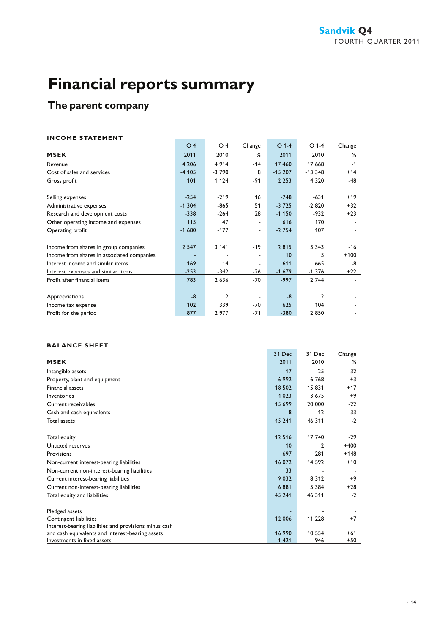### **The parent company**

#### **INCOME STATEMENT**

|                                            | $\overline{O}$ 4 | O 4          | Change | $Q$ 1-4  | $O$ 1-4  | Change |
|--------------------------------------------|------------------|--------------|--------|----------|----------|--------|
| <b>MSEK</b>                                | 2011             | 2010         | %      | 2011     | 2010     | %      |
| Revenue                                    | 4 2 0 6          | 4 9 1 4      | $-14$  | 17 460   | 17 668   | $-1$   |
| Cost of sales and services                 | $-4105$          | $-3790$      | 8      | $-15207$ | $-13348$ | $+14$  |
| Gross profit                               | 101              | 1 1 2 4      | $-91$  | 2 2 5 3  | 4 3 2 0  | $-48$  |
|                                            |                  |              |        |          |          |        |
| Selling expenses                           | $-254$           | $-219$       | 16     | $-748$   | $-631$   | $+19$  |
| Administrative expenses                    | $-1304$          | $-865$       | 51     | $-3725$  | $-2820$  | $+32$  |
| Research and development costs             | $-338$           | $-264$       | 28     | $-1150$  | -932     | $+23$  |
| Other operating income and expenses        | 115              | 47           |        | 616      | 170      |        |
| Operating profit                           | $-1680$          | $-177$       |        | $-2754$  | 107      |        |
|                                            |                  |              |        |          |          |        |
| Income from shares in group companies      | 2 5 4 7          | 3 1 4 1      | $-19$  | 2815     | 3 3 4 3  | -16    |
| Income from shares in associated companies |                  |              |        | 10       | 5        | $+100$ |
| Interest income and similar items          | 169              | 14           |        | 611      | 665      | -8     |
| Interest expenses and similar items        | $-253$           | $-342$       | $-26$  | $-1679$  | $-1376$  | $+22$  |
| Profit after financial items               | 783              | 2 6 3 6      | -70    | $-997$   | 2 744    |        |
|                                            |                  |              |        |          |          |        |
| Appropriations                             | $-8$             | $\mathbf{c}$ |        | $-8$     | 2        |        |
| Income tax expense                         | 102              | 339          | $-70$  | 625      | 104      |        |
| Profit for the period                      | 877              | 2977         | $-71$  | $-380$   | 2850     |        |

**Contract Contract** 

#### **BALANCE SHEET**

| BALANLE SMEEI                                          |         |         |                         |
|--------------------------------------------------------|---------|---------|-------------------------|
|                                                        | 31 Dec  | 31 Dec  | Change                  |
| <b>MSEK</b>                                            | 2011    | 2010    | %                       |
| Intangible assets                                      |         | 17      | 25<br>$-32$             |
| Property, plant and equipment                          | 6992    | 6768    | $+3$                    |
| <b>Financial assets</b>                                | 18 502  | 15831   | $+17$                   |
| Inventories                                            | 4 0 2 3 | 3675    | $+9$                    |
| Current receivables                                    | 15 699  | 20 000  | $-22$                   |
| Cash and cash equivalents                              |         | 8       | 12<br>-33               |
| Total assets                                           | 45 241  | 46 311  | $-2$                    |
|                                                        |         |         |                         |
| Total equity                                           | 12 5 16 | 17 740  | $-29$                   |
| Untaxed reserves                                       |         | 10      | $+400$<br>$\mathcal{P}$ |
| Provisions                                             |         | 697     | 281<br>$+148$           |
| Non-current interest-bearing liabilities               | 16 072  | 14 592  | $+10$                   |
| Non-current non-interest-bearing liabilities           |         | 33      |                         |
| Current interest-bearing liabilities                   | 9 0 3 2 | 8 3 1 2 | $+9$                    |
| Current non-interest-bearing liabilities               | 6881    | 5 3 8 4 | $+28$                   |
| Total equity and liabilities                           | 45 241  | 46 311  | $-2$                    |
|                                                        |         |         |                         |
| Pledged assets                                         |         |         |                         |
| Contingent liabilities                                 | 12 006  | 11 228  | $+7$                    |
| Interest-bearing liabilities and provisions minus cash |         |         |                         |
| and cash equivalents and interest-bearing assets       | 16 990  | 10 554  | $+61$                   |
| Investments in fixed assets                            | 1 4 2 1 |         | 946<br>$+50$            |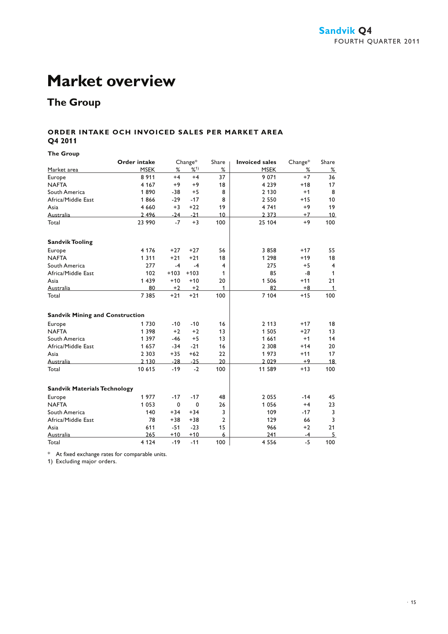### **Market overview**

### **The Group**

#### **ORDER INTAKE OCH INVOICED SALES PER MARKET AREA Q4 2011**

**The Group**

|                                        | <b>Order intake</b> |        | Change* | Share          | <b>Invoiced sales</b> | Change* | Share          |
|----------------------------------------|---------------------|--------|---------|----------------|-----------------------|---------|----------------|
| Market area                            | <b>MSEK</b>         | %      | %1)     | %              | <b>MSEK</b>           | %       | %              |
| Europe                                 | 8 9 1 1             | $+4$   | $+4$    | 37             | 9 0 7 1               | $+7$    | 36             |
| <b>NAFTA</b>                           | 4 1 6 7             | $+9$   | $+9$    | 18             | 4 2 3 9               | $+18$   | 17             |
| South America                          | 1890                | -38    | $+5$    | 8              | 2 1 3 0               | $+1$    | 8              |
| Africa/Middle East                     | 1866                | $-29$  | $-17$   | 8              | 2 5 5 0               | $+15$   | 10             |
| Asia                                   | 4 6 6 0             | $+3$   | $+22$   | 19             | 4 7 4 1               | $+9$    | 19             |
| Australia                              | 2 4 9 6             | $-24$  | $-21$   | 10             | 2 3 7 3               | $+7$    | 10             |
| Total                                  | 23 990              | $-7$   | $+3$    | 100            | 25 104                | $+9$    | 100            |
| <b>Sandvik Tooling</b>                 |                     |        |         |                |                       |         |                |
| Europe                                 | 4 1 7 6             | $+27$  | $+27$   | 56             | 3858                  | $+17$   | 55             |
| <b>NAFTA</b>                           | 1 3 1 1             | $+21$  | $+21$   | 18             | 1 2 9 8               | $+19$   | 18             |
| South America                          | 277                 | $-4$   | $-4$    | 4              | 275                   | $+5$    | $\overline{4}$ |
| Africa/Middle East                     | 102                 | $+103$ | $+103$  | 1              | 85                    | -8      | 1              |
| Asia                                   | 1 4 3 9             | $+10$  | $+10$   | 20             | 1 5 0 6               | $+11$   | 21             |
| Australia                              | 80                  | $+2$   | $+2$    | 1              | 82                    | +8      | $\mathbf{1}$   |
| Total                                  | 7 3 8 5             | $+21$  | $+21$   | 100            | 7 104                 | $+15$   | 100            |
| <b>Sandvik Mining and Construction</b> |                     |        |         |                |                       |         |                |
| Europe                                 | 1730                | $-10$  | $-10$   | 16             | 2 1 1 3               | $+17$   | 18             |
| <b>NAFTA</b>                           | 1 3 9 8             | $+2$   | $+2$    | 13             | 1 5 0 5               | $+27$   | 13             |
| South America                          | 1 3 9 7             | $-46$  | $+5$    | 13             | 1 6 6 1               | $+1$    | 14             |
| Africa/Middle East                     | 1657                | $-34$  | $-21$   | 16             | 2 3 0 8               | $+14$   | 20             |
| Asia                                   | 2 3 0 3             | $+35$  | $+62$   | 22             | 1973                  | $+11$   | 17             |
| Australia                              | 2 1 3 0             | $-28$  | $-25$   | 20             | 2 0 2 9               | +9      | 18             |
| Total                                  | 10 615              | $-19$  | $-2$    | 100            | 11 589                | $+13$   | 100            |
| <b>Sandvik Materials Technology</b>    |                     |        |         |                |                       |         |                |
| Europe                                 | 1977                | $-17$  | $-17$   | 48             | 2 0 5 5               | $-14$   | 45             |
| <b>NAFTA</b>                           | 1 0 5 3             | 0      | 0       | 26             | 1 0 5 6               | $+4$    | 23             |
| South America                          | 140                 | $+34$  | $+34$   | 3              | 109                   | $-17$   | 3              |
| Africa/Middle East                     | 78                  | $+38$  | $+38$   | $\overline{2}$ | 129                   | 66      | 3              |
| Asia                                   | 611                 | $-51$  | $-23$   | 15             | 966                   | $+2$    | 21             |
| Australia                              | 265                 | $+10$  | $+10$   | 6              | 241                   | $-4$    | 5              |
| Total                                  | 4 1 2 4             | $-19$  | $-11$   | 100            | 4 5 5 6               | $-5$    | 100            |

\* At fixed exchange rates for comparable units.

1) Excluding major orders.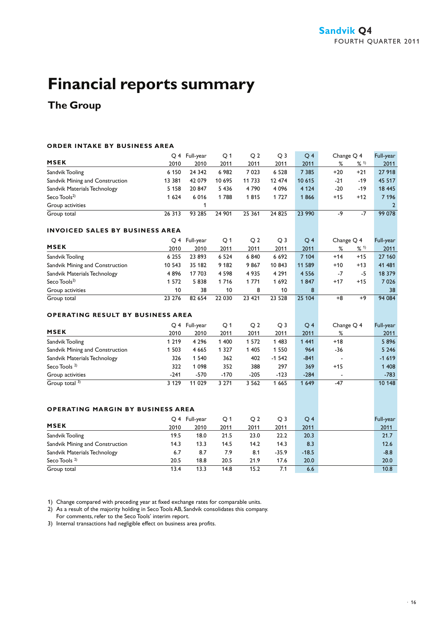### **The Group**

#### **ORDER INTAKE BY BUSINESS AREA**

|                                          |         | Q 4 Full-year | Q <sub>1</sub> | Q <sub>2</sub> | Q <sub>3</sub> | Q <sub>4</sub> | Change Q 4 |       | Full-year |
|------------------------------------------|---------|---------------|----------------|----------------|----------------|----------------|------------|-------|-----------|
| <b>MSEK</b>                              | 2010    | 2010          | 2011           | 2011           | 2011           | 2011           | %          | % 1)  | 2011      |
| Sandvik Tooling                          | 6 1 5 0 | 24 342        | 6 9 8 2        | 7 0 23         | 6 5 2 8        | 7 3 8 5        | $+20$      | $+21$ | 27 918    |
| Sandvik Mining and Construction          | 13 381  | 42 079        | 10 695         | 11 733         | 12 474         | 10 615         | $-21$      | $-19$ | 45 517    |
| Sandvik Materials Technology             | 5 1 5 8 | 20 847        | 5 4 3 6        | 4790           | 4 0 9 6        | 4 1 2 4        | $-20$      | $-19$ | 18 445    |
| Seco Tools <sup>2)</sup>                 | 1 6 2 4 | 6016          | 1788           | 1815           | 1727           | 1866           | $+15$      | $+12$ | 7 1 9 6   |
| Group activities                         |         | 1             |                |                |                |                |            |       | 2         |
| Group total                              | 26 313  | 93 285        | 24 901         | 25 361         | 24 8 25        | 23 990         | $-9$       | $-7$  | 99 078    |
| <b>INVOICED SALES BY BUSINESS AREA</b>   |         |               |                |                |                |                |            |       |           |
|                                          |         | Q 4 Full-year | Q <sub>1</sub> | Q <sub>2</sub> | Q <sub>3</sub> | Q <sub>4</sub> | Change Q 4 |       | Full-year |
| <b>MSEK</b>                              | 2010    | 2010          | 2011           | 2011           | 2011           | 2011           | %          | % 1)  | 2011      |
| Sandvik Tooling                          | 6 2 5 5 | 23 893        | 6 5 2 4        | 6840           | 6 6 9 2        | 7 104          | $+14$      | $+15$ | 27 160    |
| Sandvik Mining and Construction          | 10 543  | 35 182        | 9 1 8 2        | 9867           | 10 843         | 11 589         | $+10$      | $+13$ | 41 481    |
| Sandvik Materials Technology             | 4896    | 17 703        | 4 5 9 8        | 4 9 3 5        | 4 2 9 1        | 4 5 5 6        | -7         | $-5$  | 18 379    |
| Seco Tools $2)$                          | 1 572   | 5838          | 1716           | 1 771          | 1692           | 1847           | $+17$      | $+15$ | 7 0 2 6   |
| Group activities                         | 10      | 38            | 10             | 8              | 10             | 8              |            |       | 38        |
| Group total                              | 23 276  | 82 654        | 22 030         | 23 4 21        | 23 5 28        | 25 104         | $+8$       | $+9$  | 94 084    |
| <b>OPERATING RESULT BY BUSINESS AREA</b> |         |               |                |                |                |                |            |       |           |
|                                          |         | Q 4 Full-year | Q <sub>1</sub> | Q <sub>2</sub> | Q <sub>3</sub> | Q <sub>4</sub> | Change Q 4 |       | Full-year |
| <b>MSEK</b>                              | 2010    | 2010          | 2011           | 2011           | 2011           | 2011           | %          |       | 2011      |
| Sandvik Tooling                          | 1 2 1 9 | 4 2 9 6       | 1 400          | 1 572          | 1 4 8 3        | 1 4 4 1        | $+18$      |       | 5896      |
| Sandvik Mining and Construction          | 1 5 0 3 | 4 6 6 5       | 1 3 2 7        | 1 4 0 5        | 1 5 5 0        | 964            | $-36$      |       | 5 2 4 6   |
| Sandvik Materials Technology             | 326     | 1 5 4 0       | 362            | 402            | $-1542$        | $-841$         |            |       | $-1619$   |
| Seco Tools <sup>2)</sup>                 | 322     | 1 0 9 8       | 352            | 388            | 297            | 369            | $+15$      |       | 1 408     |
| Group activities                         | $-241$  | -570          | $-170$         | $-205$         | $-123$         | $-284$         |            |       | $-783$    |
| Group total 3)                           | 3129    | 11 0 29       | 3271           | 3562           | 1 6 6 5        | 1 6 4 9        | $-47$      |       | 10 148    |
|                                          |         |               |                |                |                |                |            |       |           |
| <b>OPERATING MARGIN BY BUSINESS AREA</b> |         |               |                |                |                |                |            |       |           |
|                                          |         | Q 4 Full-year | Q <sub>1</sub> | Q <sub>2</sub> | Q <sub>3</sub> | Q <sub>4</sub> |            |       | Full-year |
| <b>MSEK</b>                              | 2010    | 2010          | 2011           | 2011           | 2011           | 2011           |            |       | 2011      |
| Sandvik Tooling                          | 19.5    | 18.0          | 21.5           | 23.0           | 22.2           | 20.3           |            |       | 21.7      |
| Sandvik Mining and Construction          | 14.3    | 13.3          | 14.5           | 14.2           | 14.3           | 8.3            |            |       | 12.6      |
| Sandvik Materials Technology             | 6.7     | 8.7           | 7.9            | 8.1            | $-35.9$        | $-18.5$        |            |       | $-8.8$    |
| Seco Tools $2$                           | 20.5    | 18.8          | 20.5           | 21.9           | 17.6           | 20.0           |            |       | 20.0      |
| Group total                              | 13.4    | 13.3          | 14.8           | 15.2           | 7.1            | 6.6            |            |       | 10.8      |

1) Change compared with preceding year at fixed exchange rates for comparable units.

2) As a result of the majority holding in Seco Tools AB, Sandvik consolidates this company.

For comments, refer to the Seco Tools' interim report.

3) Internal transactions had negligible effect on business area profits.